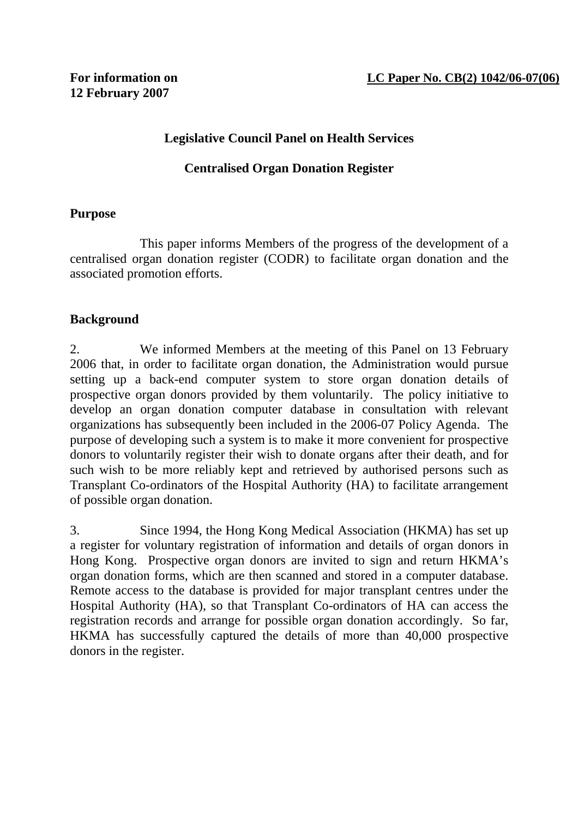### **Legislative Council Panel on Health Services**

#### **Centralised Organ Donation Register**

#### **Purpose**

 This paper informs Members of the progress of the development of a centralised organ donation register (CODR) to facilitate organ donation and the associated promotion efforts.

#### **Background**

2. We informed Members at the meeting of this Panel on 13 February 2006 that, in order to facilitate organ donation, the Administration would pursue setting up a back-end computer system to store organ donation details of prospective organ donors provided by them voluntarily. The policy initiative to develop an organ donation computer database in consultation with relevant organizations has subsequently been included in the 2006-07 Policy Agenda. The purpose of developing such a system is to make it more convenient for prospective donors to voluntarily register their wish to donate organs after their death, and for such wish to be more reliably kept and retrieved by authorised persons such as Transplant Co-ordinators of the Hospital Authority (HA) to facilitate arrangement of possible organ donation.

3. Since 1994, the Hong Kong Medical Association (HKMA) has set up a register for voluntary registration of information and details of organ donors in Hong Kong. Prospective organ donors are invited to sign and return HKMA's organ donation forms, which are then scanned and stored in a computer database. Remote access to the database is provided for major transplant centres under the Hospital Authority (HA), so that Transplant Co-ordinators of HA can access the registration records and arrange for possible organ donation accordingly. So far, HKMA has successfully captured the details of more than 40,000 prospective donors in the register.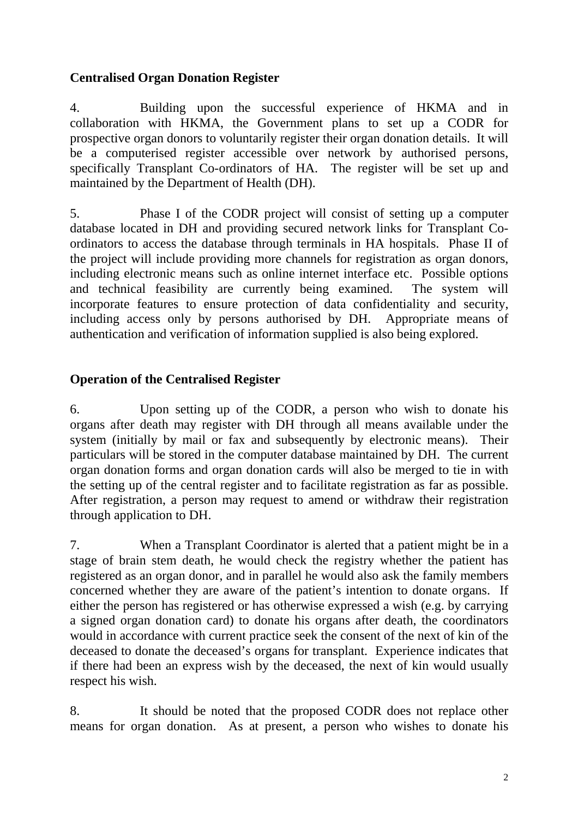### **Centralised Organ Donation Register**

4. Building upon the successful experience of HKMA and in collaboration with HKMA, the Government plans to set up a CODR for prospective organ donors to voluntarily register their organ donation details. It will be a computerised register accessible over network by authorised persons, specifically Transplant Co-ordinators of HA. The register will be set up and maintained by the Department of Health (DH).

5. Phase I of the CODR project will consist of setting up a computer database located in DH and providing secured network links for Transplant Coordinators to access the database through terminals in HA hospitals. Phase II of the project will include providing more channels for registration as organ donors, including electronic means such as online internet interface etc. Possible options and technical feasibility are currently being examined. The system will incorporate features to ensure protection of data confidentiality and security, including access only by persons authorised by DH. Appropriate means of authentication and verification of information supplied is also being explored.

# **Operation of the Centralised Register**

6. Upon setting up of the CODR, a person who wish to donate his organs after death may register with DH through all means available under the system (initially by mail or fax and subsequently by electronic means). Their particulars will be stored in the computer database maintained by DH. The current organ donation forms and organ donation cards will also be merged to tie in with the setting up of the central register and to facilitate registration as far as possible. After registration, a person may request to amend or withdraw their registration through application to DH.

7. When a Transplant Coordinator is alerted that a patient might be in a stage of brain stem death, he would check the registry whether the patient has registered as an organ donor, and in parallel he would also ask the family members concerned whether they are aware of the patient's intention to donate organs. If either the person has registered or has otherwise expressed a wish (e.g. by carrying a signed organ donation card) to donate his organs after death, the coordinators would in accordance with current practice seek the consent of the next of kin of the deceased to donate the deceased's organs for transplant. Experience indicates that if there had been an express wish by the deceased, the next of kin would usually respect his wish.

8. It should be noted that the proposed CODR does not replace other means for organ donation. As at present, a person who wishes to donate his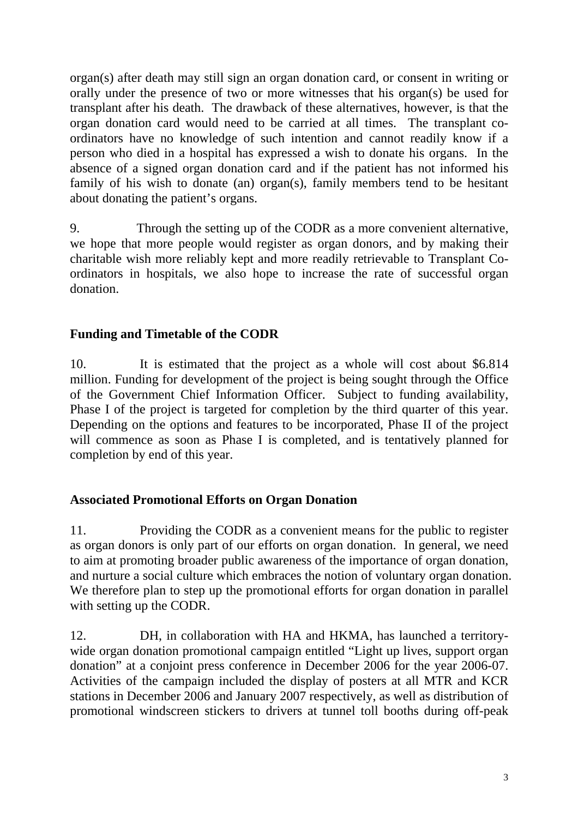organ(s) after death may still sign an organ donation card, or consent in writing or orally under the presence of two or more witnesses that his organ(s) be used for transplant after his death. The drawback of these alternatives, however, is that the organ donation card would need to be carried at all times. The transplant coordinators have no knowledge of such intention and cannot readily know if a person who died in a hospital has expressed a wish to donate his organs. In the absence of a signed organ donation card and if the patient has not informed his family of his wish to donate (an) organ(s), family members tend to be hesitant about donating the patient's organs.

9. Through the setting up of the CODR as a more convenient alternative, we hope that more people would register as organ donors, and by making their charitable wish more reliably kept and more readily retrievable to Transplant Coordinators in hospitals, we also hope to increase the rate of successful organ donation.

## **Funding and Timetable of the CODR**

10. It is estimated that the project as a whole will cost about \$6.814 million. Funding for development of the project is being sought through the Office of the Government Chief Information Officer. Subject to funding availability, Phase I of the project is targeted for completion by the third quarter of this year. Depending on the options and features to be incorporated, Phase II of the project will commence as soon as Phase I is completed, and is tentatively planned for completion by end of this year.

### **Associated Promotional Efforts on Organ Donation**

11. Providing the CODR as a convenient means for the public to register as organ donors is only part of our efforts on organ donation. In general, we need to aim at promoting broader public awareness of the importance of organ donation, and nurture a social culture which embraces the notion of voluntary organ donation. We therefore plan to step up the promotional efforts for organ donation in parallel with setting up the CODR.

12. DH, in collaboration with HA and HKMA, has launched a territorywide organ donation promotional campaign entitled "Light up lives, support organ donation" at a conjoint press conference in December 2006 for the year 2006-07. Activities of the campaign included the display of posters at all MTR and KCR stations in December 2006 and January 2007 respectively, as well as distribution of promotional windscreen stickers to drivers at tunnel toll booths during off-peak